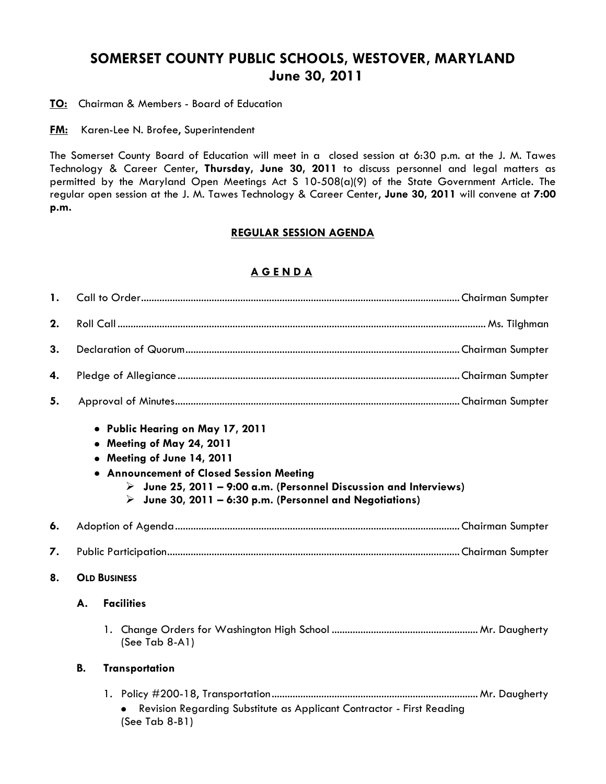## **SOMERSET COUNTY PUBLIC SCHOOLS, WESTOVER, MARYLAND June 30, 2011**

**TO:** Chairman & Members - Board of Education

**FM:** Karen-Lee N. Brofee, Superintendent

The Somerset County Board of Education will meet in a closed session at 6:30 p.m. at the J. M. Tawes Technology & Career Center, **Thursday, June 30, 2011** to discuss personnel and legal matters as permitted by the Maryland Open Meetings Act S 10-508(a)(9) of the State Government Article. The regular open session at the J. M. Tawes Technology & Career Center, **June 30, 2011** will convene at **7:00 p.m.**

## **REGULAR SESSION AGENDA**

## **A G E N D A**

| 1. |                     |                                                                                                                                                                                                                                                                                                        |  |  |  |  |  |
|----|---------------------|--------------------------------------------------------------------------------------------------------------------------------------------------------------------------------------------------------------------------------------------------------------------------------------------------------|--|--|--|--|--|
| 2. |                     |                                                                                                                                                                                                                                                                                                        |  |  |  |  |  |
| 3. |                     |                                                                                                                                                                                                                                                                                                        |  |  |  |  |  |
| 4. |                     |                                                                                                                                                                                                                                                                                                        |  |  |  |  |  |
| 5. |                     |                                                                                                                                                                                                                                                                                                        |  |  |  |  |  |
|    |                     | • Public Hearing on May 17, 2011<br>• Meeting of May 24, 2011<br>• Meeting of June 14, 2011<br>• Announcement of Closed Session Meeting<br>$\triangleright$ June 25, 2011 – 9:00 a.m. (Personnel Discussion and Interviews)<br>$\triangleright$ June 30, 2011 – 6:30 p.m. (Personnel and Negotiations) |  |  |  |  |  |
| 6. |                     |                                                                                                                                                                                                                                                                                                        |  |  |  |  |  |
| 7. |                     |                                                                                                                                                                                                                                                                                                        |  |  |  |  |  |
| 8. | <b>OLD BUSINESS</b> |                                                                                                                                                                                                                                                                                                        |  |  |  |  |  |
|    |                     |                                                                                                                                                                                                                                                                                                        |  |  |  |  |  |
|    | А.                  | <b>Facilities</b>                                                                                                                                                                                                                                                                                      |  |  |  |  |  |
|    |                     | $(See Tab 8-A1)$                                                                                                                                                                                                                                                                                       |  |  |  |  |  |
|    | <b>B.</b>           | <b>Transportation</b>                                                                                                                                                                                                                                                                                  |  |  |  |  |  |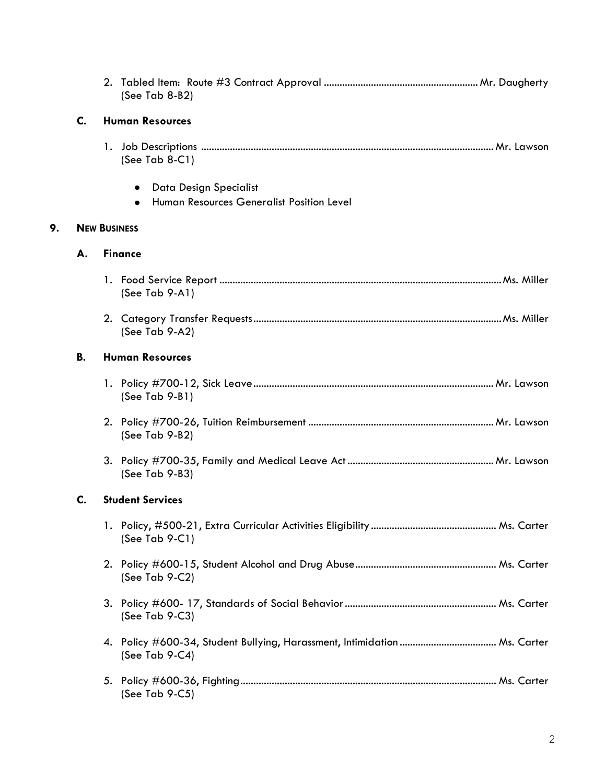|    |                              |  | (See Tab 8-B2)                                                           |  |  |  |
|----|------------------------------|--|--------------------------------------------------------------------------|--|--|--|
|    | <b>Human Resources</b><br>C. |  |                                                                          |  |  |  |
|    |                              |  | (See Tab $8-C1$ )                                                        |  |  |  |
|    |                              |  | Data Design Specialist<br>Human Resources Generalist Position Level<br>٠ |  |  |  |
| 9. | <b>NEW BUSINESS</b>          |  |                                                                          |  |  |  |
|    | А.                           |  | <b>Finance</b>                                                           |  |  |  |
|    |                              |  | (See Tab 9-A1)                                                           |  |  |  |
|    |                              |  | (See Tab 9-A2)                                                           |  |  |  |
|    | В.                           |  | <b>Human Resources</b>                                                   |  |  |  |
|    |                              |  | $(See Tab 9-B1)$                                                         |  |  |  |
|    |                              |  | (See Tab 9-B2)                                                           |  |  |  |
|    |                              |  | (See Tab 9-B3)                                                           |  |  |  |
|    | C.                           |  | <b>Student Services</b>                                                  |  |  |  |
|    |                              |  | (See Tab $9-C1$ )                                                        |  |  |  |
|    |                              |  | (See Tab $9-C2$ )                                                        |  |  |  |
|    |                              |  | (See Tab $9-C3$ )                                                        |  |  |  |
|    |                              |  | (See Tab 9-C4)                                                           |  |  |  |
|    |                              |  | (See Tab 9-C5)                                                           |  |  |  |